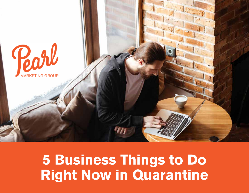

# **5 Business Things to Do Right Now in Quarantine**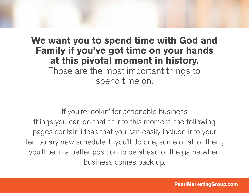### **We want you to spend time with God and Family if you've got time on your hands at this pivotal moment in history.**  Those are the most important things to

spend time on.

If you're lookin' for actionable business things you can do that fit into this moment, the following pages contain ideas that you can easily include into your temporary new schedule. If you'll do one, some or all of them, you'll be in a better position to be ahead of the game when business comes back up.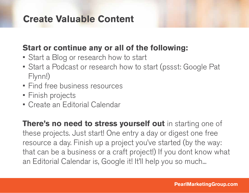#### **Create Valuable Content**

#### **Start or continue any or all of the following:**

- Start a Blog or research how to start
- Start a Podcast or research how to start (pssst: Google Pat Flynn!)
- Find free business resources
- Finish projects
- Create an Editorial Calendar

**There's no need to stress yourself out** in starting one of these projects. Just start! One entry a day or digest one free resource a day. Finish up a project you've started (by the way: that can be a business or a craft project!) If you dont know what an Editorial Calendar is, Google it! It'll help you so much...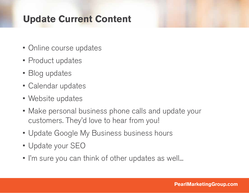### **Update Current Content**

- Online course updates
- Product updates
- Blog updates
- Calendar updates
- Website updates
- Make personal business phone calls and update your customers. They'd love to hear from you!
- Update Google My Business business hours
- Update your SEO
- I'm sure you can think of other updates as well...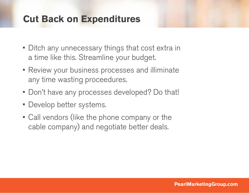#### **Cut Back on Expenditures**

- Ditch any unnecessary things that cost extra in a time like this. Streamline your budget.
- Review your business processes and illiminate any time wasting proceedures.
- Don't have any processes developed? Do that!
- Develop better systems.
- Call vendors (like the phone company or the cable company) and negotiate better deals.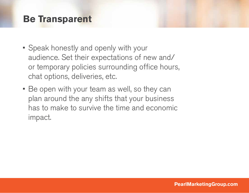#### **Be Transparent**

- Speak honestly and openly with your audience. Set their expectations of new and/ or temporary policies surrounding office hours, chat options, deliveries, etc.
- Be open with your team as well, so they can plan around the any shifts that your business has to make to survive the time and economic impact.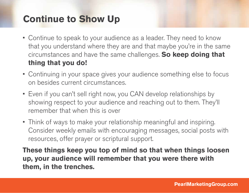## **Continue to Show Up**

- Continue to speak to your audience as a leader. They need to know that you understand where they are and that maybe you're in the same circumstances and have the same challenges. **So keep doing that thing that you do!**
- Continuing in your space gives your audience something else to focus on besides current circumstances.
- Even if you can't sell right now, you CAN develop relationships by showing respect to your audience and reaching out to them. They'll remember that when this is over
- Think of ways to make your relationship meaningful and inspiring. Consider weekly emails with encouraging messages, social posts with resources, offer prayer or scriptural support.

**These things keep you top of mind so that when things loosen up, your audience will remember that you were there with them, in the trenches.**